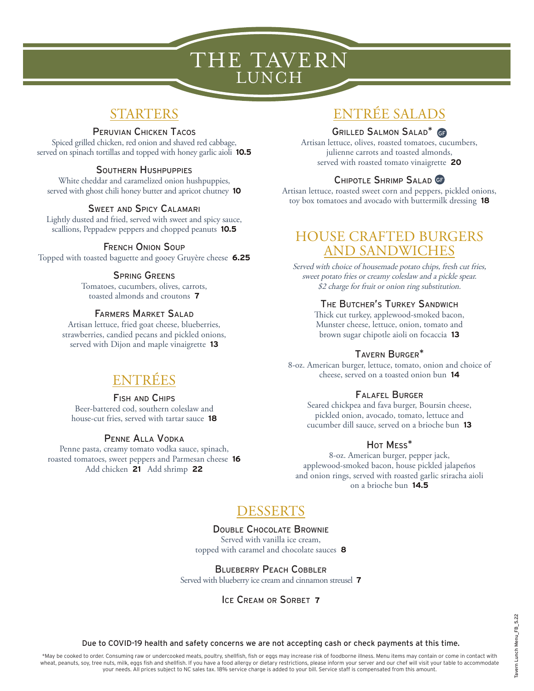# THE TAVERN LUNCH

## STARTERS

#### Peruvian Chicken Tacos

Spiced grilled chicken, red onion and shaved red cabbage, served on spinach tortillas and topped with honey garlic aioli **10.5**

#### Southern Hushpuppies

White cheddar and caramelized onion hushpuppies, served with ghost chili honey butter and apricot chutney **10**

#### Sweet and Spicy Calamari

Lightly dusted and fried, served with sweet and spicy sauce, scallions, Peppadew peppers and chopped peanuts **10.5**

#### French Onion Soup

Topped with toasted baguette and gooey Gruyère cheese **6.25**

#### SPRING GREENS

Tomatoes, cucumbers, olives, carrots, toasted almonds and croutons **7**

#### Farmers Market Salad

Artisan lettuce, fried goat cheese, blueberries, strawberries, candied pecans and pickled onions, served with Dijon and maple vinaigrette **13**

## ENTRÉES

#### Fish and Chips

Beer-battered cod, southern coleslaw and house-cut fries, served with tartar sauce **18**

#### Penne Alla Vodka

Penne pasta, creamy tomato vodka sauce, spinach, roasted tomatoes, sweet peppers and Parmesan cheese **16** Add chicken **21** Add shrimp **22**

## ENTRÉE SALADS

#### Grilled Salmon Salad\* GF

Artisan lettuce, olives, roasted tomatoes, cucumbers, julienne carrots and toasted almonds, served with roasted tomato vinaigrette **20**

### Chipotle Shrimp Salad GF

Artisan lettuce, roasted sweet corn and peppers, pickled onions, toy box tomatoes and avocado with buttermilk dressing **18**

## HOUSE CRAFTED BURGERS AND SANDWICHES

Served with choice of housemade potato chips, fresh cut fries, sweet potato fries or creamy coleslaw and a pickle spear. \$2 charge for fruit or onion ring substitution.

#### The Butcher's Turkey Sandwich

Thick cut turkey, applewood-smoked bacon, Munster cheese, lettuce, onion, tomato and brown sugar chipotle aioli on focaccia **13**

#### Tavern Burger\*

8-oz. American burger, lettuce, tomato, onion and choice of cheese, served on a toasted onion bun **14**

#### Falafel Burger

Seared chickpea and fava burger, Boursin cheese, pickled onion, avocado, tomato, lettuce and cucumber dill sauce, served on a brioche bun **13**

#### Hot Mess\*

8-oz. American burger, pepper jack, applewood-smoked bacon, house pickled jalapeños and onion rings, served with roasted garlic sriracha aioli on a brioche bun **14.5**

## DESSERTS

#### Double Chocolate Brownie

Served with vanilla ice cream, topped with caramel and chocolate sauces **8**

#### BLUEBERRY PEACH COBBLER

Served with blueberry ice cream and cinnamon streusel **7**

Ice Cream or Sorbet **7**

Due to COVID-19 health and safety concerns we are not accepting cash or check payments at this time.